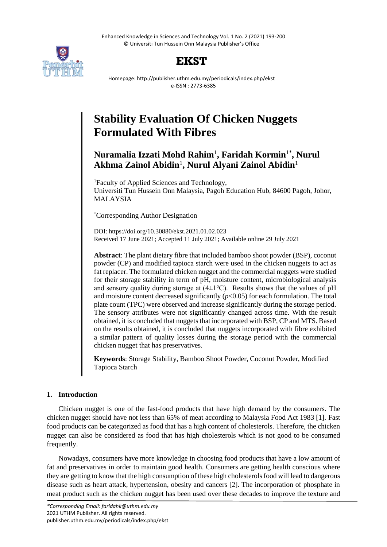Enhanced Knowledge in Sciences and Technology Vol. 1 No. 2 (2021) 193-200 © Universiti Tun Hussein Onn Malaysia Publisher's Office



## **EKST**

Homepage: http://publisher.uthm.edu.my/periodicals/index.php/ekst e-ISSN : 2773-6385

# **Stability Evaluation Of Chicken Nuggets Formulated With Fibres**

### **Nuramalia Izzati Mohd Rahim**<sup>1</sup> **, Faridah Kormin**1\* **, Nurul Akhma Zainol Abidin**<sup>1</sup> **, Nurul Alyani Zainol Abidin**<sup>1</sup>

<sup>1</sup>Faculty of Applied Sciences and Technology, Universiti Tun Hussein Onn Malaysia, Pagoh Education Hub, 84600 Pagoh, Johor, MALAYSIA

\*Corresponding Author Designation

DOI: https://doi.org/10.30880/ekst.2021.01.02.023 Received 17 June 2021; Accepted 11 July 2021; Available online 29 July 2021

**Abstract**: The plant dietary fibre that included bamboo shoot powder (BSP), coconut powder (CP) and modified tapioca starch were used in the chicken nuggets to act as fat replacer. The formulated chicken nugget and the commercial nuggets were studied for their storage stability in term of pH, moisture content, microbiological analysis and sensory quality during storage at  $(4\pm1\textdegree C)$ . Results shows that the values of pH and moisture content decreased significantly  $(p<0.05)$  for each formulation. The total plate count (TPC) were observed and increase significantly during the storage period. The sensory attributes were not significantly changed across time. With the result obtained, it is concluded that nuggets that incorporated with BSP, CP and MTS. Based on the results obtained, it is concluded that nuggets incorporated with fibre exhibited a similar pattern of quality losses during the storage period with the commercial chicken nugget that has preservatives.

**Keywords**: Storage Stability, Bamboo Shoot Powder, Coconut Powder, Modified Tapioca Starch

#### **1. Introduction**

Chicken nugget is one of the fast-food products that have high demand by the consumers. The chicken nugget should have not less than 65% of meat according to Malaysia Food Act 1983 [1]. Fast food products can be categorized as food that has a high content of cholesterols. Therefore, the chicken nugget can also be considered as food that has high cholesterols which is not good to be consumed frequently.

Nowadays, consumers have more knowledge in choosing food products that have a low amount of fat and preservatives in order to maintain good health. Consumers are getting health conscious where they are getting to know that the high consumption of these high cholesterols food will lead to dangerous disease such as heart attack, hypertension, obesity and cancers [2]. The incorporation of phosphate in meat product such as the chicken nugget has been used over these decades to improve the texture and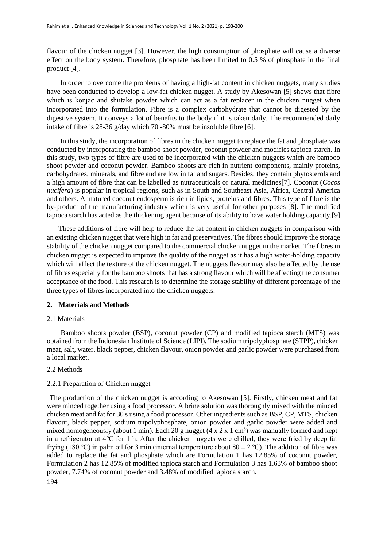flavour of the chicken nugget [3]. However, the high consumption of phosphate will cause a diverse effect on the body system. Therefore, phosphate has been limited to 0.5 % of phosphate in the final product [4].

In order to overcome the problems of having a high-fat content in chicken nuggets, many studies have been conducted to develop a low-fat chicken nugget. A study by Akesowan [5] shows that fibre which is konjac and shiitake powder which can act as a fat replacer in the chicken nugget when incorporated into the formulation. Fibre is a complex carbohydrate that cannot be digested by the digestive system. It conveys a lot of benefits to the body if it is taken daily. The recommended daily intake of fibre is 28-36 g/day which 70 -80% must be insoluble fibre [6].

In this study, the incorporation of fibres in the chicken nugget to replace the fat and phosphate was conducted by incorporating the bamboo shoot powder, coconut powder and modifies tapioca starch. In this study, two types of fibre are used to be incorporated with the chicken nuggets which are bamboo shoot powder and coconut powder. Bamboo shoots are rich in nutrient components, mainly proteins, carbohydrates, minerals, and fibre and are low in fat and sugars. Besides, they contain phytosterols and a high amount of fibre that can be labelled as nutraceuticals or natural medicines[7]. Coconut (*Cocos nucifera*) is popular in tropical regions, such as in South and Southeast Asia, Africa, Central America and others. A matured coconut endosperm is rich in lipids, proteins and fibres. This type of fibre is the by-product of the manufacturing industry which is very useful for other purposes [8]. The modified tapioca starch has acted as the thickening agent because of its ability to have water holding capacity.[9]

These additions of fibre will help to reduce the fat content in chicken nuggets in comparison with an existing chicken nugget that were high in fat and preservatives. The fibres should improve the storage stability of the chicken nugget compared to the commercial chicken nugget in the market. The fibres in chicken nugget is expected to improve the quality of the nugget as it has a high water-holding capacity which will affect the texture of the chicken nugget. The nuggets flavour may also be affected by the use of fibres especially for the bamboo shoots that has a strong flavour which will be affecting the consumer acceptance of the food. This research is to determine the storage stability of different percentage of the three types of fibres incorporated into the chicken nuggets.

#### **2. Materials and Methods**

#### 2.1 Materials

Bamboo shoots powder (BSP), coconut powder (CP) and modified tapioca starch (MTS) was obtained from the Indonesian Institute of Science (LIPI). The sodium tripolyphosphate (STPP), chicken meat, salt, water, black pepper, chicken flavour, onion powder and garlic powder were purchased from a local market.

#### 2.2 Methods

#### 2.2.1 Preparation of Chicken nugget

The production of the chicken nugget is according to Akesowan [5]. Firstly, chicken meat and fat were minced together using a food processor. A brine solution was thoroughly mixed with the minced chicken meat and fat for 30 s using a food processor. Other ingredients such as BSP, CP, MTS, chicken flavour, black pepper, sodium tripolyphosphate, onion powder and garlic powder were added and mixed homogeneously (about 1 min). Each 20 g nugget  $(4 \times 2 \times 1 \text{ cm}^3)$  was manually formed and kept in a refrigerator at 4℃ for 1 h. After the chicken nuggets were chilled, they were fried by deep fat frying (180 °C) in palm oil for 3 min (internal temperature about  $80 \pm 2$  °C). The addition of fibre was added to replace the fat and phosphate which are Formulation 1 has 12.85% of coconut powder, Formulation 2 has 12.85% of modified tapioca starch and Formulation 3 has 1.63% of bamboo shoot powder, 7.74% of coconut powder and 3.48% of modified tapioca starch.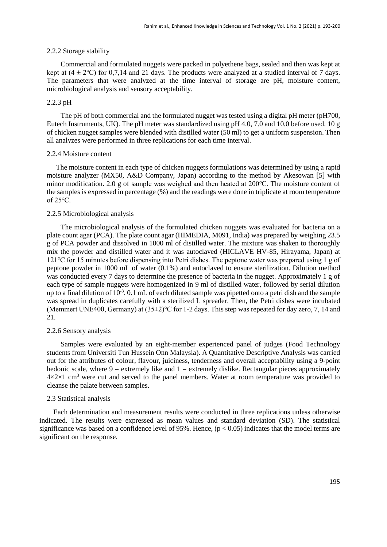#### 2.2.2 Storage stability

Commercial and formulated nuggets were packed in polyethene bags, sealed and then was kept at kept at  $(4 \pm 2^{\circ}\text{C})$  for 0,7,14 and 21 days. The products were analyzed at a studied interval of 7 days. The parameters that were analyzed at the time interval of storage are pH, moisture content, microbiological analysis and sensory acceptability.

#### 2.2.3 pH

The pH of both commercial and the formulated nugget was tested using a digital pH meter (pH700, Eutech Instruments, UK). The pH meter was standardized using pH 4.0, 7.0 and 10.0 before used. 10 g of chicken nugget samples were blended with distilled water (50 ml) to get a uniform suspension. Then all analyzes were performed in three replications for each time interval.

#### 2.2.4 Moisture content

The moisture content in each type of chicken nuggets formulations was determined by using a rapid moisture analyzer (MX50, A&D Company, Japan) according to the method by Akesowan [5] with minor modification. 2.0 g of sample was weighed and then heated at 200℃. The moisture content of the samples is expressed in percentage (%) and the readings were done in triplicate at room temperature of 25℃.

#### 2.2.5 Microbiological analysis

The microbiological analysis of the formulated chicken nuggets was evaluated for bacteria on a plate count agar (PCA). The plate count agar (HIMEDIA, M091, India) was prepared by weighing 23.5 g of PCA powder and dissolved in 1000 ml of distilled water. The mixture was shaken to thoroughly mix the powder and distilled water and it was autoclaved (HICLAVE HV-85, Hirayama, Japan) at 121℃ for 15 minutes before dispensing into Petri dishes. The peptone water was prepared using 1 g of peptone powder in 1000 mL of water (0.1%) and autoclaved to ensure sterilization. Dilution method was conducted every 7 days to determine the presence of bacteria in the nugget. Approximately 1 g of each type of sample nuggets were homogenized in 9 ml of distilled water, followed by serial dilution up to a final dilution of  $10^{-3}$ . 0.1 mL of each diluted sample was pipetted onto a petri dish and the sample was spread in duplicates carefully with a sterilized L spreader. Then, the Petri dishes were incubated (Memmert UNE400, Germany) at (35±2)℃ for 1-2 days. This step was repeated for day zero, 7, 14 and 21.

#### 2.2.6 Sensory analysis

Samples were evaluated by an eight-member experienced panel of judges (Food Technology students from Universiti Tun Hussein Onn Malaysia). A Quantitative Descriptive Analysis was carried out for the attributes of colour, flavour, juiciness, tenderness and overall acceptability using a 9-point hedonic scale, where  $9 =$  extremely like and  $1 =$  extremely dislike. Rectangular pieces approximately  $4 \times 2 \times 1$  cm<sup>3</sup> were cut and served to the panel members. Water at room temperature was provided to cleanse the palate between samples.

#### 2.3 Statistical analysis

Each determination and measurement results were conducted in three replications unless otherwise indicated. The results were expressed as mean values and standard deviation (SD). The statistical significance was based on a confidence level of 95%. Hence,  $(p < 0.05)$  indicates that the model terms are significant on the response.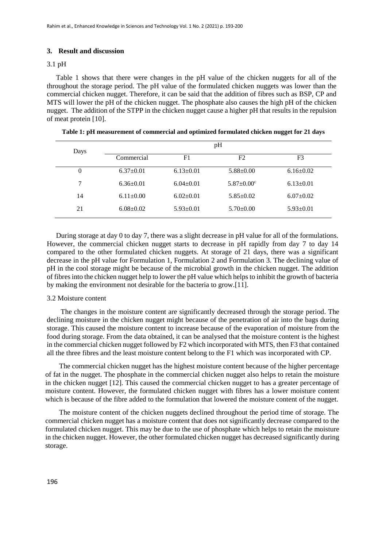#### **3. Result and discussion**

#### 3.1 pH

Table 1 shows that there were changes in the pH value of the chicken nuggets for all of the throughout the storage period. The pH value of the formulated chicken nuggets was lower than the commercial chicken nugget. Therefore, it can be said that the addition of fibres such as BSP, CP and MTS will lower the pH of the chicken nugget. The phosphate also causes the high pH of the chicken nugget. The addition of the STPP in the chicken nugget cause a higher pH that results in the repulsion of meat protein [10].

| Days     | pH              |                 |                              |                 |  |
|----------|-----------------|-----------------|------------------------------|-----------------|--|
|          | Commercial      | F1              | F2                           | F <sub>3</sub>  |  |
| $\Omega$ | $6.37 \pm 0.01$ | $6.13 \pm 0.01$ | $5.88 \pm 0.00$              | $6.16 \pm 0.02$ |  |
| 7        | $6.36 \pm 0.01$ | $6.04 \pm 0.01$ | $5.87 \pm 0.00$ <sup>c</sup> | $6.13 \pm 0.01$ |  |
| 14       | $6.11 \pm 0.00$ | $6.02 \pm 0.01$ | $5.85 \pm 0.02$              | $6.07 \pm 0.02$ |  |
| 21       | $6.08 \pm 0.02$ | $5.93 \pm 0.01$ | $5.70 \pm 0.00$              | $5.93 \pm 0.01$ |  |

**Table 1: pH measurement of commercial and optimized formulated chicken nugget for 21 days**

During storage at day 0 to day 7, there was a slight decrease in pH value for all of the formulations. However, the commercial chicken nugget starts to decrease in pH rapidly from day 7 to day 14 compared to the other formulated chicken nuggets. At storage of 21 days, there was a significant decrease in the pH value for Formulation 1, Formulation 2 and Formulation 3. The declining value of pH in the cool storage might be because of the microbial growth in the chicken nugget. The addition of fibres into the chicken nugget help to lower the pH value which helpsto inhibit the growth of bacteria by making the environment not desirable for the bacteria to grow.[11].

#### 3.2 Moisture content

The changes in the moisture content are significantly decreased through the storage period. The declining moisture in the chicken nugget might because of the penetration of air into the bags during storage. This caused the moisture content to increase because of the evaporation of moisture from the food during storage. From the data obtained, it can be analysed that the moisture content is the highest in the commercial chicken nugget followed by F2 which incorporated with MTS, then F3 that contained all the three fibres and the least moisture content belong to the F1 which was incorporated with CP.

The commercial chicken nugget has the highest moisture content because of the higher percentage of fat in the nugget. The phosphate in the commercial chicken nugget also helps to retain the moisture in the chicken nugget [12]. This caused the commercial chicken nugget to has a greater percentage of moisture content. However, the formulated chicken nugget with fibres has a lower moisture content which is because of the fibre added to the formulation that lowered the moisture content of the nugget.

The moisture content of the chicken nuggets declined throughout the period time of storage. The commercial chicken nugget has a moisture content that does not significantly decrease compared to the formulated chicken nugget. This may be due to the use of phosphate which helps to retain the moisture in the chicken nugget. However, the other formulated chicken nugget has decreased significantly during storage.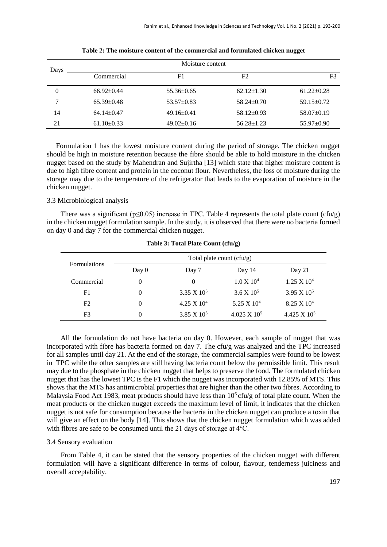| Days |                  | Moisture content |                  |                  |  |
|------|------------------|------------------|------------------|------------------|--|
|      | Commercial       | F1               | F <sub>2</sub>   | F <sub>3</sub>   |  |
| 0    | $66.92 \pm 0.44$ | $55.36 \pm 0.65$ | $62.12 \pm 1.30$ | $61.22 \pm 0.28$ |  |
| 7    | $65.39 \pm 0.48$ | $53.57 \pm 0.83$ | $58.24 \pm 0.70$ | $59.15 \pm 0.72$ |  |
| 14   | $64.14 \pm 0.47$ | $49.16 \pm 0.41$ | $58.12 \pm 0.93$ | $58.07 \pm 0.19$ |  |
| 21   | $61.10 \pm 0.33$ | $49.02 \pm 0.16$ | $56.28 \pm 1.23$ | $55.97 \pm 0.90$ |  |

**Table 2: The moisture content of the commercial and formulated chicken nugget** 

Formulation 1 has the lowest moisture content during the period of storage. The chicken nugget should be high in moisture retention because the fibre should be able to hold moisture in the chicken nugget based on the study by Mahendran and Sujirtha [13] which state that higher moisture content is due to high fibre content and protein in the coconut flour. Nevertheless, the loss of moisture during the storage may due to the temperature of the refrigerator that leads to the evaporation of moisture in the chicken nugget.

#### 3.3 Microbiological analysis

There was a significant ( $p \le 0.05$ ) increase in TPC. Table 4 represents the total plate count (cfu/g) in the chicken nugget formulation sample. In the study, it is observed that there were no bacteria formed on day 0 and day 7 for the commercial chicken nugget.

|                     | Total plate count $(cfu/g)$ |                    |                     |                     |
|---------------------|-----------------------------|--------------------|---------------------|---------------------|
| <b>Formulations</b> | Day 0                       | Day 7              | Day 14              | Day 21              |
| Commercial          | $\theta$                    |                    | $1.0 \times 10^4$   | $1.25 \times 10^4$  |
| F <sub>1</sub>      | 0                           | $3.35 \times 10^5$ | $3.6 \times 10^5$   | $3.95 \times 10^5$  |
| F2                  |                             | $4.25 \times 10^4$ | 5.25 X $10^4$       | $8.25 \times 10^4$  |
| F3                  | 0                           | $3.85 \times 10^5$ | $4.025 \times 10^5$ | $4.425 \times 10^5$ |

**Table 3: Total Plate Count (cfu/g)**

All the formulation do not have bacteria on day 0. However, each sample of nugget that was incorporated with fibre has bacteria formed on day 7. The cfu/g was analyzed and the TPC increased for all samples until day 21. At the end of the storage, the commercial samples were found to be lowest in TPC while the other samples are still having bacteria count below the permissible limit. This result may due to the phosphate in the chicken nugget that helps to preserve the food. The formulated chicken nugget that has the lowest TPC is the F1 which the nugget was incorporated with 12.85% of MTS. This shows that the MTS has antimicrobial properties that are higher than the other two fibres. According to Malaysia Food Act 1983, meat products should have less than  $10<sup>6</sup>$  cfu/g of total plate count. When the meat products or the chicken nugget exceeds the maximum level of limit, it indicates that the chicken nugget is not safe for consumption because the bacteria in the chicken nugget can produce a toxin that will give an effect on the body [14]. This shows that the chicken nugget formulation which was added with fibres are safe to be consumed until the 21 days of storage at 4℃.

#### 3.4 Sensory evaluation

From Table 4, it can be stated that the sensory properties of the chicken nugget with different formulation will have a significant difference in terms of colour, flavour, tenderness juiciness and overall acceptability.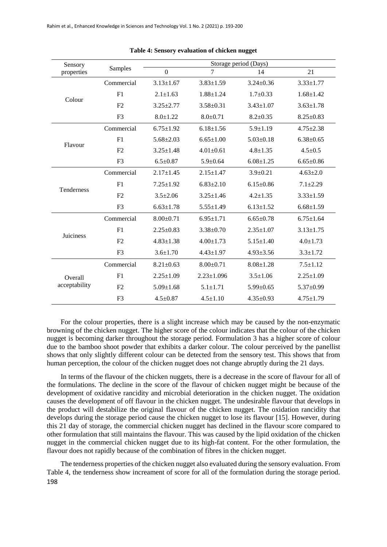| Sensory<br>properties    | Samples        | Storage period (Days) |                  |                 |                 |
|--------------------------|----------------|-----------------------|------------------|-----------------|-----------------|
|                          |                | $\boldsymbol{0}$      | 7                | 14              | 21              |
| Colour                   | Commercial     | $3.13 \pm 1.67$       | $3.83 \pm 1.59$  | $3.24 \pm 0.36$ | $3.33 \pm 1.77$ |
|                          | F1             | $2.1 \pm 1.63$        | $1.88 \pm 1.24$  | $1.7 \pm 0.33$  | $1.68 \pm 1.42$ |
|                          | F <sub>2</sub> | $3.25 \pm 2.77$       | $3.58 \pm 0.31$  | $3.43 \pm 1.07$ | $3.63 \pm 1.78$ |
|                          | F <sub>3</sub> | $8.0 \pm 1.22$        | $8.0 \pm 0.71$   | $8.2 \pm 0.35$  | $8.25 \pm 0.83$ |
| Flavour                  | Commercial     | $6.75 \pm 1.92$       | $6.18 \pm 1.56$  | $5.9 \pm 1.19$  | $4.75 \pm 2.38$ |
|                          | F1             | $5.68 + 2.03$         | $6.65 \pm 1.00$  | $5.03 \pm 0.18$ | $6.38 \pm 0.65$ |
|                          | F <sub>2</sub> | $3.25 \pm 1.48$       | $4.01 \pm 0.61$  | $4.8 + 1.35$    | $4.5 \pm 0.5$   |
|                          | F <sub>3</sub> | $6.5 \pm 0.87$        | $5.9 \pm 0.64$   | $6.08 \pm 1.25$ | $6.65 \pm 0.86$ |
|                          | Commercial     | $2.17 \pm 1.45$       | $2.15 \pm 1.47$  | $3.9 \pm 0.21$  | $4.63 \pm 2.0$  |
|                          | F <sub>1</sub> | $7.25 \pm 1.92$       | $6.83 \pm 2.10$  | $6.15 \pm 0.86$ | $7.1 \pm 2.29$  |
| <b>Tenderness</b>        | F2             | $3.5 \pm 2.06$        | $3.25 \pm 1.46$  | $4.2 \pm 1.35$  | $3.33 \pm 1.59$ |
|                          | F <sub>3</sub> | $6.63 \pm 1.78$       | $5.55 \pm 1.49$  | $6.13 \pm 1.52$ | $6.68 \pm 1.59$ |
| Juiciness                | Commercial     | $8.00+0.71$           | $6.95 \pm 1.71$  | $6.65 \pm 0.78$ | $6.75 + 1.64$   |
|                          | F1             | $2.25 \pm 0.83$       | $3.38 \pm 0.70$  | $2.35 \pm 1.07$ | $3.13 \pm 1.75$ |
|                          | F <sub>2</sub> | $4.83 \pm 1.38$       | $4.00 \pm 1.73$  | $5.15 \pm 1.40$ | $4.0 \pm 1.73$  |
|                          | F <sub>3</sub> | $3.6 \pm 1.70$        | $4.43 \pm 1.97$  | $4.93 \pm 3.56$ | $3.3 \pm 1.72$  |
| Overall<br>acceptability | Commercial     | $8.21 \pm 0.63$       | $8.00 \pm 0.71$  | $8.08 \pm 1.28$ | $7.5 \pm 1.12$  |
|                          | F <sub>1</sub> | $2.25 \pm 1.09$       | $2.23 \pm 1.096$ | $3.5 \pm 1.06$  | $2.25 \pm 1.09$ |
|                          | F <sub>2</sub> | $5.09 \pm 1.68$       | $5.1 \pm 1.71$   | $5.99 \pm 0.65$ | $5.37 \pm 0.99$ |
|                          | F <sub>3</sub> | $4.5 \pm 0.87$        | $4.5 \pm 1.10$   | $4.35 \pm 0.93$ | $4.75 \pm 1.79$ |

**Table 4: Sensory evaluation of chicken nugget** 

For the colour properties, there is a slight increase which may be caused by the non-enzymatic browning of the chicken nugget. The higher score of the colour indicates that the colour of the chicken nugget is becoming darker throughout the storage period. Formulation 3 has a higher score of colour due to the bamboo shoot powder that exhibits a darker colour. The colour perceived by the panellist shows that only slightly different colour can be detected from the sensory test. This shows that from human perception, the colour of the chicken nugget does not change abruptly during the 21 days.

In terms of the flavour of the chicken nuggets, there is a decrease in the score of flavour for all of the formulations. The decline in the score of the flavour of chicken nugget might be because of the development of oxidative rancidity and microbial deterioration in the chicken nugget. The oxidation causes the development of off flavour in the chicken nugget. The undesirable flavour that develops in the product will destabilize the original flavour of the chicken nugget. The oxidation rancidity that develops during the storage period cause the chicken nugget to lose its flavour [15]. However, during this 21 day of storage, the commercial chicken nugget has declined in the flavour score compared to other formulation that still maintains the flavour. This was caused by the lipid oxidation of the chicken nugget in the commercial chicken nugget due to its high-fat content. For the other formulation, the flavour does not rapidly because of the combination of fibres in the chicken nugget.

198 The tenderness properties of the chicken nugget also evaluated during the sensory evaluation. From Table 4, the tenderness show increament of score for all of the formulation during the storage period.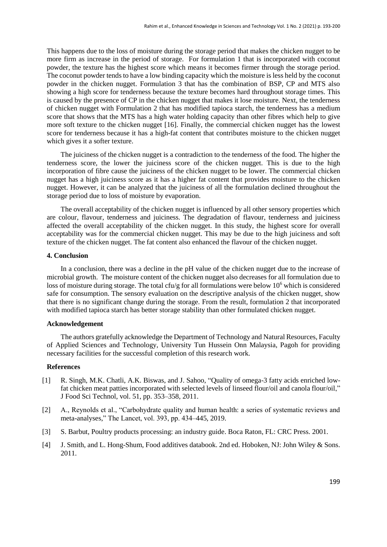This happens due to the loss of moisture during the storage period that makes the chicken nugget to be more firm as increase in the period of storage. For formulation 1 that is incorporated with coconut powder, the texture has the highest score which means it becomes firmer through the storage period. The coconut powder tends to have a low binding capacity which the moisture is less held by the coconut powder in the chicken nugget. Formulation 3 that has the combination of BSP, CP and MTS also showing a high score for tenderness because the texture becomes hard throughout storage times. This is caused by the presence of CP in the chicken nugget that makes it lose moisture. Next, the tenderness of chicken nugget with Formulation 2 that has modified tapioca starch, the tenderness has a medium score that shows that the MTS has a high water holding capacity than other fibres which help to give more soft texture to the chicken nugget [16]. Finally, the commercial chicken nugget has the lowest score for tenderness because it has a high-fat content that contributes moisture to the chicken nugget which gives it a softer texture.

The juiciness of the chicken nugget is a contradiction to the tenderness of the food. The higher the tenderness score, the lower the juiciness score of the chicken nugget. This is due to the high incorporation of fibre cause the juiciness of the chicken nugget to be lower. The commercial chicken nugget has a high juiciness score as it has a higher fat content that provides moisture to the chicken nugget. However, it can be analyzed that the juiciness of all the formulation declined throughout the storage period due to loss of moisture by evaporation.

The overall acceptability of the chicken nugget is influenced by all other sensory properties which are colour, flavour, tenderness and juiciness. The degradation of flavour, tenderness and juiciness affected the overall acceptability of the chicken nugget. In this study, the highest score for overall acceptability was for the commercial chicken nugget. This may be due to the high juiciness and soft texture of the chicken nugget. The fat content also enhanced the flavour of the chicken nugget.

#### **4. Conclusion**

In a conclusion, there was a decline in the pH value of the chicken nugget due to the increase of microbial growth. The moisture content of the chicken nugget also decreases for all formulation due to loss of moisture during storage. The total cfu/g for all formulations were below 10<sup>6</sup> which is considered safe for consumption. The sensory evaluation on the descriptive analysis of the chicken nugget, show that there is no significant change during the storage. From the result, formulation 2 that incorporated with modified tapioca starch has better storage stability than other formulated chicken nugget.

#### **Acknowledgement**

The authors gratefully acknowledge the Department of Technology and Natural Resources, Faculty of Applied Sciences and Technology, University Tun Hussein Onn Malaysia, Pagoh for providing necessary facilities for the successful completion of this research work.

#### **References**

- [1] R. Singh, M.K. Chatli, A.K. Biswas, and J. Sahoo, "Quality of omega-3 fatty acids enriched lowfat chicken meat patties incorporated with selected levels of linseed flour/oil and canola flour/oil," J Food Sci Technol, vol. 51, pp. 353–358, 2011.
- [2] A., Reynolds et al., "Carbohydrate quality and human health: a series of systematic reviews and meta-analyses," The Lancet, vol. 393, pp. 434–445, 2019.
- [3] S. Barbut, Poultry products processing: an industry guide. Boca Raton, FL: CRC Press. 2001.
- [4] J. Smith, and L. Hong-Shum, Food additives databook. 2nd ed. Hoboken, NJ: John Wiley & Sons. 2011.